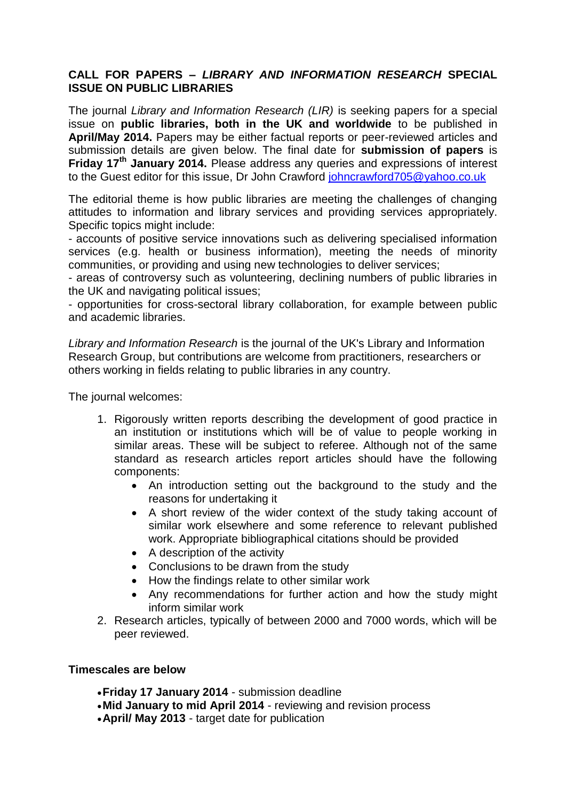## **CALL FOR PAPERS –** *LIBRARY AND INFORMATION RESEARCH* **SPECIAL ISSUE ON PUBLIC LIBRARIES**

The journal *Library and Information Research (LIR)* is seeking papers for a special issue on **public libraries, both in the UK and worldwide** to be published in **April/May 2014.** Papers may be either factual reports or peer-reviewed articles and submission details are given below. The final date for **submission of papers** is **Friday 17th January 2014.** Please address any queries and expressions of interest to the Guest editor for this issue, Dr John Crawford [johncrawford705@yahoo.co.uk](mailto:johncrawford705@yahoo.co.uk)

The editorial theme is how public libraries are meeting the challenges of changing attitudes to information and library services and providing services appropriately. Specific topics might include:

- accounts of positive service innovations such as delivering specialised information services (e.g. health or business information), meeting the needs of minority communities, or providing and using new technologies to deliver services;

- areas of controversy such as volunteering, declining numbers of public libraries in the UK and navigating political issues;

- opportunities for cross-sectoral library collaboration, for example between public and academic libraries.

*Library and Information Research* is the journal of the UK's Library and Information Research Group, but contributions are welcome from practitioners, researchers or others working in fields relating to public libraries in any country.

The journal welcomes:

- 1. Rigorously written reports describing the development of good practice in an institution or institutions which will be of value to people working in similar areas. These will be subject to referee. Although not of the same standard as research articles report articles should have the following components:
	- An introduction setting out the background to the study and the reasons for undertaking it
	- A short review of the wider context of the study taking account of similar work elsewhere and some reference to relevant published work. Appropriate bibliographical citations should be provided
	- A description of the activity
	- Conclusions to be drawn from the study
	- How the findings relate to other similar work
	- Any recommendations for further action and how the study might inform similar work
- 2. Research articles, typically of between 2000 and 7000 words, which will be peer reviewed.

## **Timescales are below**

- **Friday 17 January 2014**  submission deadline
- **Mid January to mid April 2014** reviewing and revision process
- **April/ May 2013** target date for publication